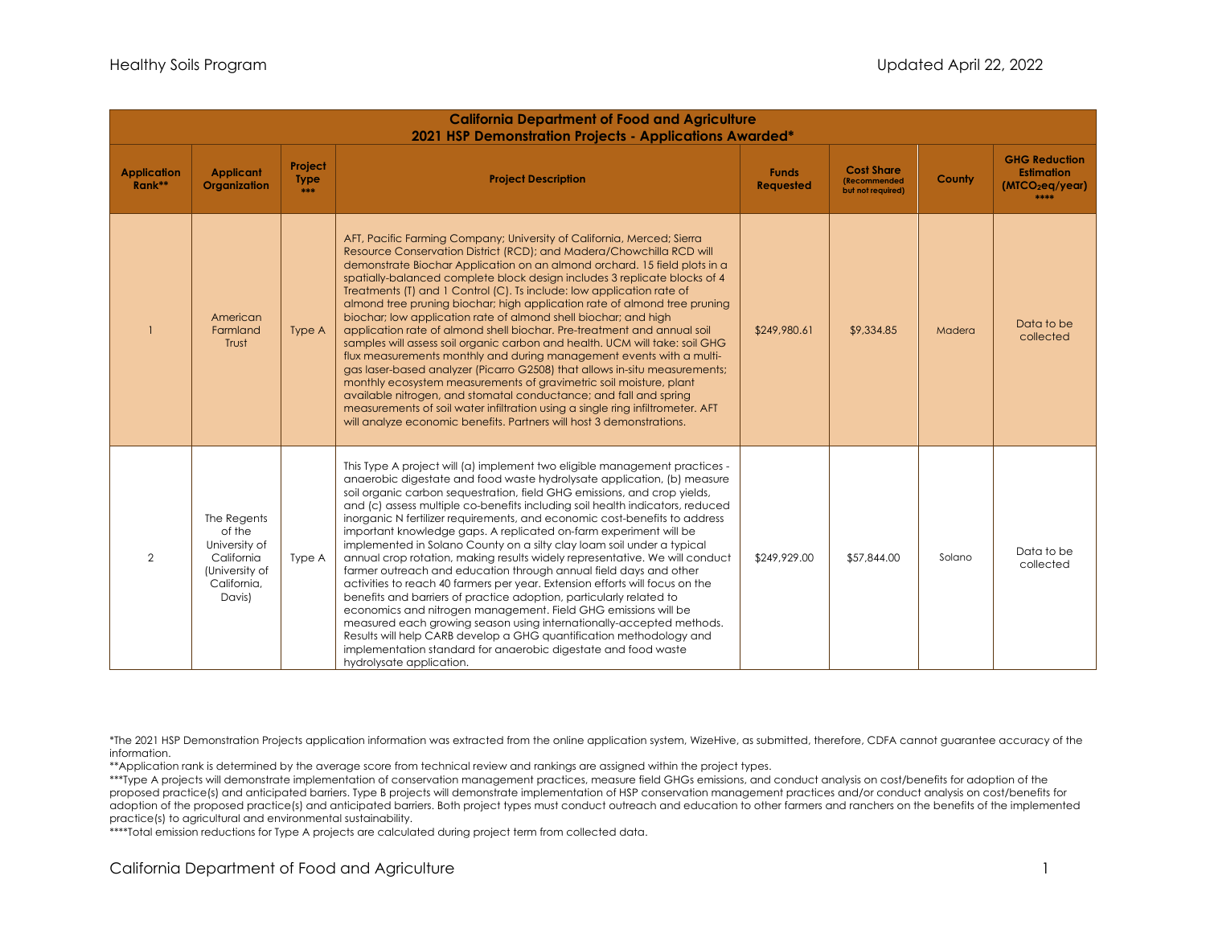| <b>California Department of Food and Agriculture</b><br>2021 HSP Demonstration Projects - Applications Awarded* |                                                                                                 |                               |                                                                                                                                                                                                                                                                                                                                                                                                                                                                                                                                                                                                                                                                                                                                                                                                                                                                                                                                                                                                                                                                                                                                                                           |                                  |                                                                       |        |                                                                                  |
|-----------------------------------------------------------------------------------------------------------------|-------------------------------------------------------------------------------------------------|-------------------------------|---------------------------------------------------------------------------------------------------------------------------------------------------------------------------------------------------------------------------------------------------------------------------------------------------------------------------------------------------------------------------------------------------------------------------------------------------------------------------------------------------------------------------------------------------------------------------------------------------------------------------------------------------------------------------------------------------------------------------------------------------------------------------------------------------------------------------------------------------------------------------------------------------------------------------------------------------------------------------------------------------------------------------------------------------------------------------------------------------------------------------------------------------------------------------|----------------------------------|-----------------------------------------------------------------------|--------|----------------------------------------------------------------------------------|
| <b>Application</b><br>Rank**                                                                                    | <b>Applicant</b><br>Organization                                                                | Project<br><b>Type</b><br>*** | <b>Project Description</b>                                                                                                                                                                                                                                                                                                                                                                                                                                                                                                                                                                                                                                                                                                                                                                                                                                                                                                                                                                                                                                                                                                                                                | <b>Funds</b><br><b>Requested</b> | <b>Cost Share</b><br><i><b>(Recommended)</b></i><br>but not required) | County | <b>GHG Reduction</b><br><b>Estimation</b><br>(MTCO <sub>2</sub> eq/year)<br>**** |
|                                                                                                                 | American<br>Farmland<br>Trust                                                                   | Type A                        | AFT, Pacific Farming Company; University of California, Merced; Sierra<br>Resource Conservation District (RCD); and Madera/Chowchilla RCD will<br>demonstrate Biochar Application on an almond orchard. 15 field plots in a<br>spatially-balanced complete block design includes 3 replicate blocks of 4<br>Treatments (T) and 1 Control (C). Ts include: low application rate of<br>almond tree pruning biochar; high application rate of almond tree pruning<br>biochar; low application rate of almond shell biochar; and high<br>application rate of almond shell biochar. Pre-treatment and annual soil<br>samples will assess soil organic carbon and health. UCM will take: soil GHG<br>flux measurements monthly and during management events with a multi-<br>gas laser-based analyzer (Picarro G2508) that allows in-situ measurements;<br>monthly ecosystem measurements of gravimetric soil moisture, plant<br>available nitrogen, and stomatal conductance; and fall and spring<br>measurements of soil water infiltration using a single ring infiltrometer. AFT<br>will analyze economic benefits. Partners will host 3 demonstrations.                    | \$249,980.61                     | \$9,334.85                                                            | Madera | Data to be<br>collected                                                          |
| $\overline{2}$                                                                                                  | The Regents<br>of the<br>University of<br>California<br>(University of<br>California.<br>Davis) | Type A                        | This Type A project will (a) implement two eligible management practices -<br>anaerobic digestate and food waste hydrolysate application, (b) measure<br>soil organic carbon sequestration, field GHG emissions, and crop yields,<br>and (c) assess multiple co-benefits including soil health indicators, reduced<br>inorganic N fertilizer requirements, and economic cost-benefits to address<br>important knowledge gaps. A replicated on-farm experiment will be<br>implemented in Solano County on a silty clay loam soil under a typical<br>annual crop rotation, making results widely representative. We will conduct<br>farmer outreach and education through annual field days and other<br>activities to reach 40 farmers per year. Extension efforts will focus on the<br>benefits and barriers of practice adoption, particularly related to<br>economics and nitrogen management. Field GHG emissions will be<br>measured each growing season using internationally-accepted methods.<br>Results will help CARB develop a GHG quantification methodology and<br>implementation standard for anaerobic digestate and food waste<br>hydrolysate application. | \$249,929.00                     | \$57,844.00                                                           | Solano | Data to be<br>collected                                                          |

\*The 2021 HSP Demonstration Projects application information was extracted from the online application system, WizeHive, as submitted, therefore, CDFA cannot guarantee accuracy of the information.

\*\*Application rank is determined by the average score from technical review and rankings are assigned within the project types.

 adoption of the proposed practice(s) and anticipated barriers. Both project types must conduct outreach and education to other farmers and ranchers on the benefits of the implemented \*\*\*Type A projects will demonstrate implementation of conservation management practices, measure field GHGs emissions, and conduct analysis on cost/benefits for adoption of the proposed practice(s) and anticipated barriers. Type B projects will demonstrate implementation of HSP conservation management practices and/or conduct analysis on cost/benefits for practice(s) to agricultural and environmental sustainability.

\*\*\*\*Total emission reductions for Type A projects are calculated during project term from collected data.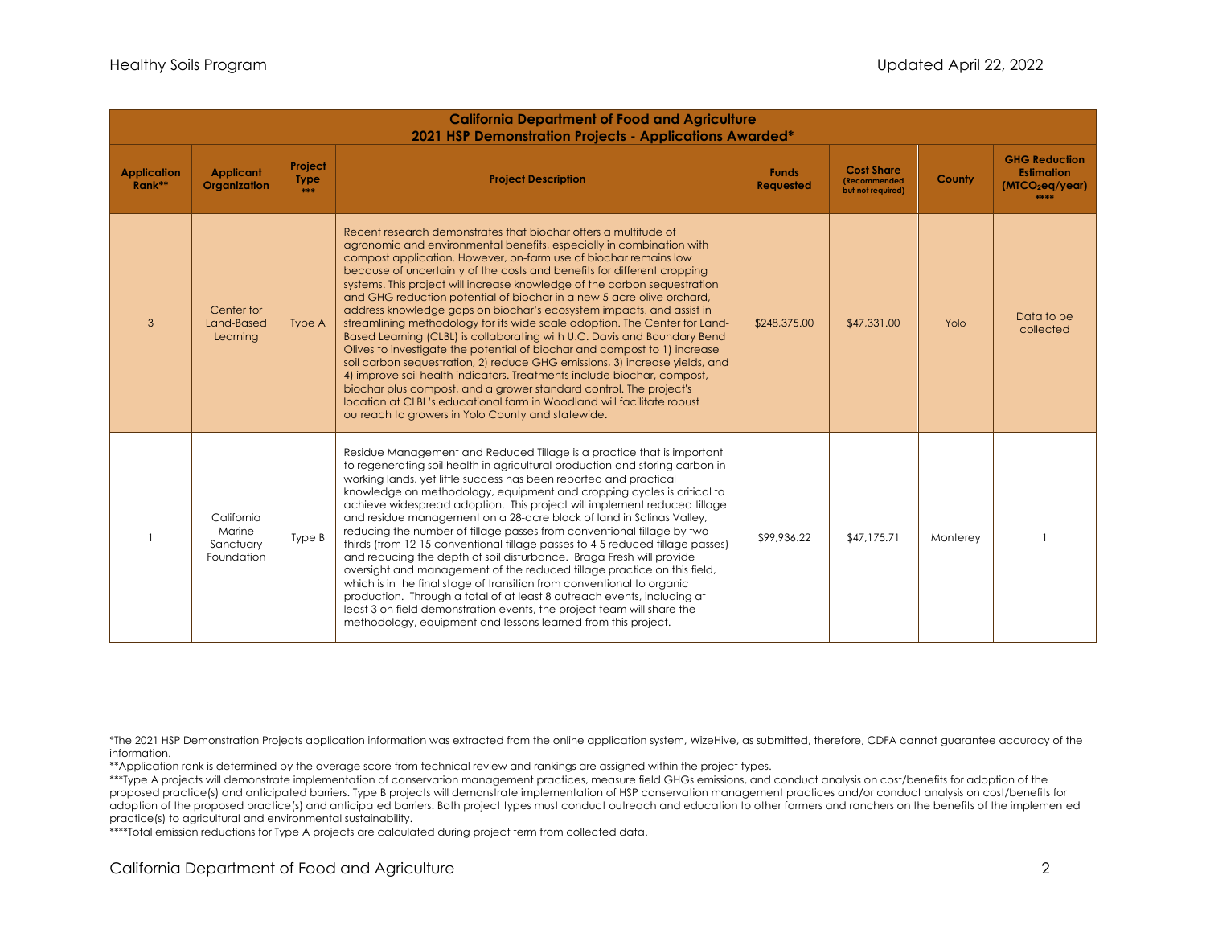| <b>California Department of Food and Agriculture</b><br>2021 HSP Demonstration Projects - Applications Awarded* |                                                 |                                   |                                                                                                                                                                                                                                                                                                                                                                                                                                                                                                                                                                                                                                                                                                                                                                                                                                                                                                                                                                                                                                                                                                                            |                           |                                                                       |          |                                                                                  |
|-----------------------------------------------------------------------------------------------------------------|-------------------------------------------------|-----------------------------------|----------------------------------------------------------------------------------------------------------------------------------------------------------------------------------------------------------------------------------------------------------------------------------------------------------------------------------------------------------------------------------------------------------------------------------------------------------------------------------------------------------------------------------------------------------------------------------------------------------------------------------------------------------------------------------------------------------------------------------------------------------------------------------------------------------------------------------------------------------------------------------------------------------------------------------------------------------------------------------------------------------------------------------------------------------------------------------------------------------------------------|---------------------------|-----------------------------------------------------------------------|----------|----------------------------------------------------------------------------------|
| <b>Application</b><br>$Rank**$                                                                                  | <b>Applicant</b><br>Organization                | Project<br><b>Type</b><br>skok sk | <b>Project Description</b>                                                                                                                                                                                                                                                                                                                                                                                                                                                                                                                                                                                                                                                                                                                                                                                                                                                                                                                                                                                                                                                                                                 | <b>Funds</b><br>Requested | <b>Cost Share</b><br><i><b>(Recommended)</b></i><br>but not required) | County   | <b>GHG Reduction</b><br><b>Estimation</b><br>(MTCO <sub>2</sub> eq/year)<br>**** |
| 3                                                                                                               | Center for<br>Land-Based<br>Learning            | Type A                            | Recent research demonstrates that biochar offers a multitude of<br>agronomic and environmental benefits, especially in combination with<br>compost application. However, on-farm use of biochar remains low<br>because of uncertainty of the costs and benefits for different cropping<br>systems. This project will increase knowledge of the carbon sequestration<br>and GHG reduction potential of biochar in a new 5-acre olive orchard,<br>address knowledge gaps on biochar's ecosystem impacts, and assist in<br>streamlining methodology for its wide scale adoption. The Center for Land-<br>Based Learning (CLBL) is collaborating with U.C. Davis and Boundary Bend<br>Olives to investigate the potential of biochar and compost to 1) increase<br>soil carbon sequestration, 2) reduce GHG emissions, 3) increase yields, and<br>4) improve soil health indicators. Treatments include biochar, compost,<br>biochar plus compost, and a grower standard control. The project's<br>location at CLBL's educational farm in Woodland will facilitate robust<br>outreach to growers in Yolo County and statewide. | \$248,375.00              | \$47,331.00                                                           | Yolo     | Data to be<br>collected                                                          |
|                                                                                                                 | California<br>Marine<br>Sanctuary<br>Foundation | Type B                            | Residue Management and Reduced Tillage is a practice that is important<br>to regenerating soil health in agricultural production and storing carbon in<br>working lands, yet little success has been reported and practical<br>knowledge on methodology, equipment and cropping cycles is critical to<br>achieve widespread adoption. This project will implement reduced tillage<br>and residue management on a 28-acre block of land in Salinas Valley,<br>reducing the number of tillage passes from conventional tillage by two-<br>thirds (from 12-15 conventional tillage passes to 4-5 reduced tillage passes)<br>and reducing the depth of soil disturbance. Braga Fresh will provide<br>oversight and management of the reduced tillage practice on this field,<br>which is in the final stage of transition from conventional to organic<br>production. Through a total of at least 8 outreach events, including at<br>least 3 on field demonstration events, the project team will share the<br>methodology, equipment and lessons learned from this project.                                                   | \$99,936.22               | \$47,175.71                                                           | Monterev |                                                                                  |

\*The 2021 HSP Demonstration Projects application information was extracted from the online application system, WizeHive, as submitted, therefore, CDFA cannot guarantee accuracy of the information.

\*\*Application rank is determined by the average score from technical review and rankings are assigned within the project types.

 adoption of the proposed practice(s) and anticipated barriers. Both project types must conduct outreach and education to other farmers and ranchers on the benefits of the implemented \*\*\*Type A projects will demonstrate implementation of conservation management practices, measure field GHGs emissions, and conduct analysis on cost/benefits for adoption of the proposed practice(s) and anticipated barriers. Type B projects will demonstrate implementation of HSP conservation management practices and/or conduct analysis on cost/benefits for practice(s) to agricultural and environmental sustainability.

\*\*\*\*Total emission reductions for Type A projects are calculated during project term from collected data.